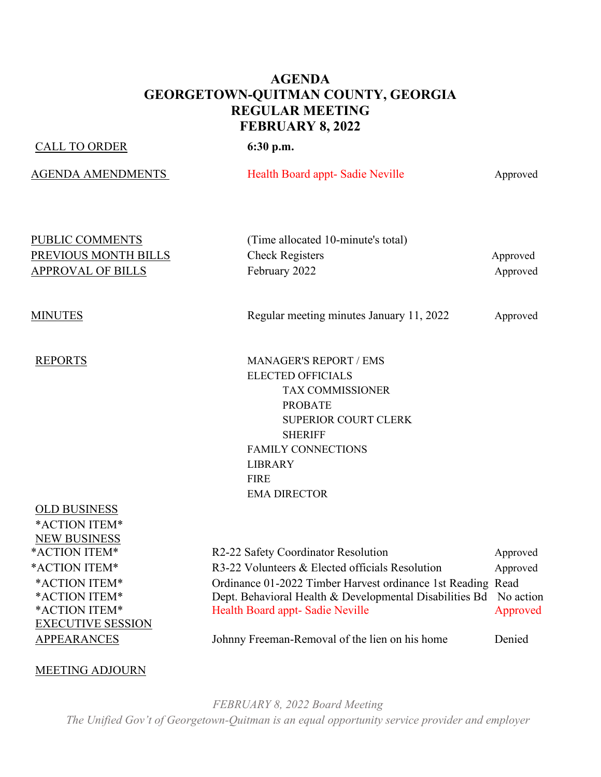#### **AGENDA GEORGETOWN-QUITMAN COUNTY, GEORGIA REGULAR MEETING FEBRUARY 8, 2022**

#### CALL TO ORDER **6:30 p.m.**

AGENDA AMENDMENTS Health Board appt- Sadie Neville Approved

| <b>PUBLIC COMMENTS</b>      |  |
|-----------------------------|--|
| <b>PREVIOUS MONTH BILLS</b> |  |
| <b>APPROVAL OF BILLS</b>    |  |

(Time allocated 10-minute's total) **Prior Check Registers** Approved February 2022 **Approved** 

MINUTES Regular meeting minutes January 11, 2022 Approved

REPORTS MANAGER'S REPORT / EMS ELECTED OFFICIALS TAX COMMISSIONER PROBATE SUPERIOR COURT CLERK SHERIFF FAMILY CONNECTIONS LIBRARY FIRE EMA DIRECTOR

# OLD BUSINESS \*ACTION ITEM\* NEW BUSINESS \*ACTION ITEM\* O EXECUTIVE SESSION

| *ACTION ITEM*            | R2-22 Safety Coordinator Resolution                               | Approved |
|--------------------------|-------------------------------------------------------------------|----------|
| *ACTION ITEM*            | R3-22 Volunteers & Elected officials Resolution                   | Approved |
| *ACTION ITEM*            | Ordinance 01-2022 Timber Harvest ordinance 1st Reading Read       |          |
| *ACTION ITEM*            | Dept. Behavioral Health & Developmental Disabilities Bd No action |          |
| *ACTION ITEM*            | Health Board appt-Sadie Neville                                   | Approved |
| <b>EXECUTIVE SESSION</b> |                                                                   |          |

APPEARANCES Johnny Freeman-Removal of the lien on his home Denied

#### MEETING ADJOURN

*FEBRUARY 8, 2022 Board Meeting The Unified Gov't of Georgetown-Quitman is an equal opportunity service provider and employer*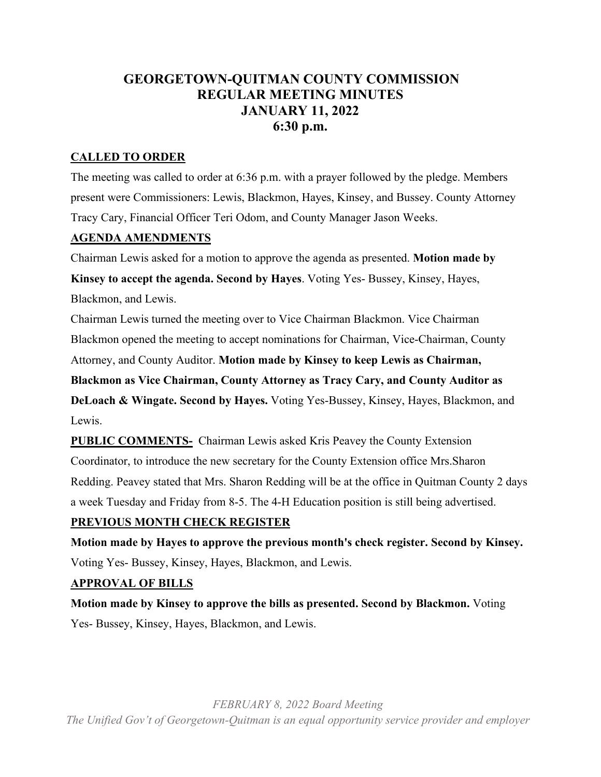### **GEORGETOWN-QUITMAN COUNTY COMMISSION REGULAR MEETING MINUTES JANUARY 11, 2022 6:30 p.m.**

#### **CALLED TO ORDER**

The meeting was called to order at 6:36 p.m. with a prayer followed by the pledge. Members present were Commissioners: Lewis, Blackmon, Hayes, Kinsey, and Bussey. County Attorney Tracy Cary, Financial Officer Teri Odom, and County Manager Jason Weeks.

#### **AGENDA AMENDMENTS**

Chairman Lewis asked for a motion to approve the agenda as presented. **Motion made by** 

**Kinsey to accept the agenda. Second by Hayes**. Voting Yes- Bussey, Kinsey, Hayes, Blackmon, and Lewis.

Chairman Lewis turned the meeting over to Vice Chairman Blackmon. Vice Chairman Blackmon opened the meeting to accept nominations for Chairman, Vice-Chairman, County Attorney, and County Auditor. **Motion made by Kinsey to keep Lewis as Chairman,** 

**Blackmon as Vice Chairman, County Attorney as Tracy Cary, and County Auditor as DeLoach & Wingate. Second by Hayes.** Voting Yes-Bussey, Kinsey, Hayes, Blackmon, and Lewis.

**PUBLIC COMMENTS-** Chairman Lewis asked Kris Peavey the County Extension Coordinator, to introduce the new secretary for the County Extension office Mrs.Sharon Redding. Peavey stated that Mrs. Sharon Redding will be at the office in Quitman County 2 days a week Tuesday and Friday from 8-5. The 4-H Education position is still being advertised.

#### **PREVIOUS MONTH CHECK REGISTER**

**Motion made by Hayes to approve the previous month's check register. Second by Kinsey.** Voting Yes- Bussey, Kinsey, Hayes, Blackmon, and Lewis.

#### **APPROVAL OF BILLS**

**Motion made by Kinsey to approve the bills as presented. Second by Blackmon.** Voting Yes- Bussey, Kinsey, Hayes, Blackmon, and Lewis.

*FEBRUARY 8, 2022 Board Meeting The Unified Gov't of Georgetown-Quitman is an equal opportunity service provider and employer*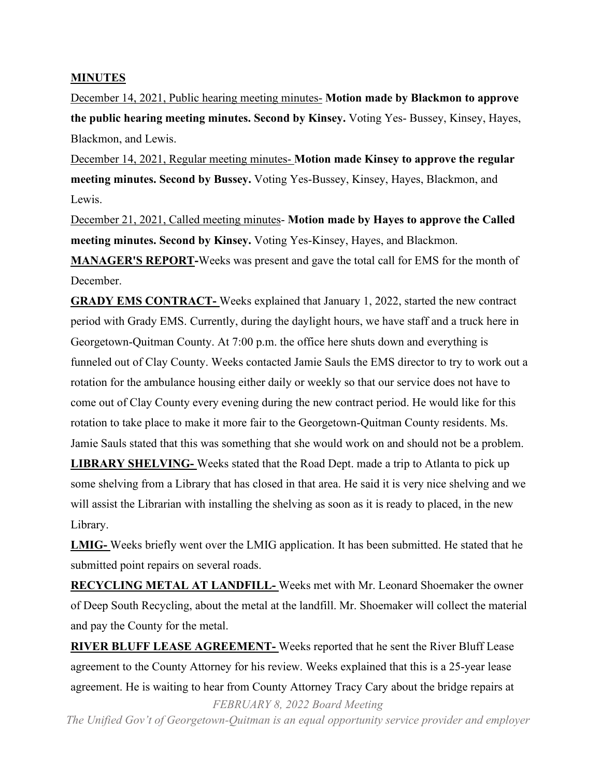#### **MINUTES**

December 14, 2021, Public hearing meeting minutes- **Motion made by Blackmon to approve the public hearing meeting minutes. Second by Kinsey.** Voting Yes- Bussey, Kinsey, Hayes, Blackmon, and Lewis.

December 14, 2021, Regular meeting minutes- **Motion made Kinsey to approve the regular meeting minutes. Second by Bussey.** Voting Yes-Bussey, Kinsey, Hayes, Blackmon, and Lewis.

December 21, 2021, Called meeting minutes- **Motion made by Hayes to approve the Called meeting minutes. Second by Kinsey.** Voting Yes-Kinsey, Hayes, and Blackmon.

**MANAGER'S REPORT-**Weeks was present and gave the total call for EMS for the month of December.

**GRADY EMS CONTRACT-** Weeks explained that January 1, 2022, started the new contract period with Grady EMS. Currently, during the daylight hours, we have staff and a truck here in Georgetown-Quitman County. At 7:00 p.m. the office here shuts down and everything is funneled out of Clay County. Weeks contacted Jamie Sauls the EMS director to try to work out a rotation for the ambulance housing either daily or weekly so that our service does not have to come out of Clay County every evening during the new contract period. He would like for this rotation to take place to make it more fair to the Georgetown-Quitman County residents. Ms. Jamie Sauls stated that this was something that she would work on and should not be a problem. **LIBRARY SHELVING-** Weeks stated that the Road Dept. made a trip to Atlanta to pick up some shelving from a Library that has closed in that area. He said it is very nice shelving and we

will assist the Librarian with installing the shelving as soon as it is ready to placed, in the new Library.

**LMIG-** Weeks briefly went over the LMIG application. It has been submitted. He stated that he submitted point repairs on several roads.

**RECYCLING METAL AT LANDFILL-** Weeks met with Mr. Leonard Shoemaker the owner of Deep South Recycling, about the metal at the landfill. Mr. Shoemaker will collect the material and pay the County for the metal.

*FEBRUARY 8, 2022 Board Meeting* **RIVER BLUFF LEASE AGREEMENT-** Weeks reported that he sent the River Bluff Lease agreement to the County Attorney for his review. Weeks explained that this is a 25-year lease agreement. He is waiting to hear from County Attorney Tracy Cary about the bridge repairs at

*The Unified Gov't of Georgetown-Quitman is an equal opportunity service provider and employer*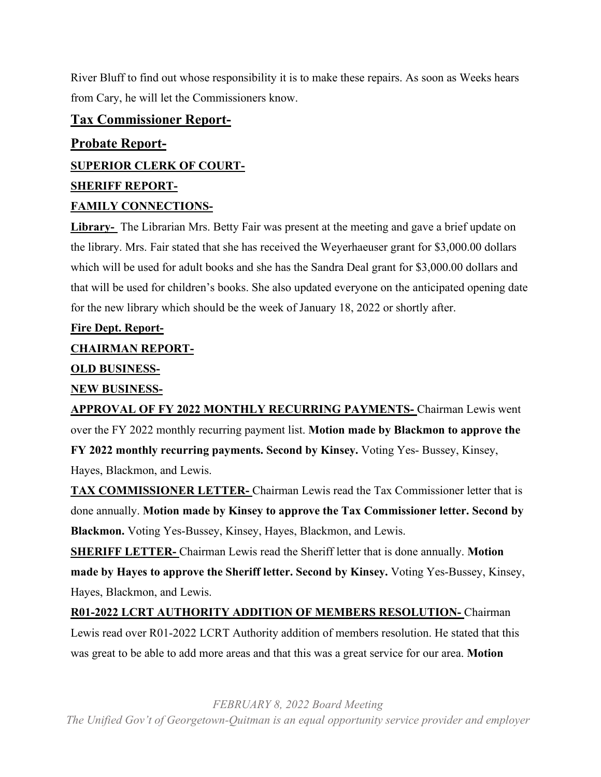River Bluff to find out whose responsibility it is to make these repairs. As soon as Weeks hears from Cary, he will let the Commissioners know.

#### **Tax Commissioner Report-**

## **Probate Report-SUPERIOR CLERK OF COURT-SHERIFF REPORT-**

#### **FAMILY CONNECTIONS-**

**Library-** The Librarian Mrs. Betty Fair was present at the meeting and gave a brief update on the library. Mrs. Fair stated that she has received the Weyerhaeuser grant for \$3,000.00 dollars which will be used for adult books and she has the Sandra Deal grant for \$3,000.00 dollars and that will be used for children's books. She also updated everyone on the anticipated opening date for the new library which should be the week of January 18, 2022 or shortly after.

#### **Fire Dept. Report-**

#### **CHAIRMAN REPORT-**

#### **OLD BUSINESS-**

#### **NEW BUSINESS-**

**APPROVAL OF FY 2022 MONTHLY RECURRING PAYMENTS-** Chairman Lewis went over the FY 2022 monthly recurring payment list. **Motion made by Blackmon to approve the** 

**FY 2022 monthly recurring payments. Second by Kinsey.** Voting Yes- Bussey, Kinsey,

Hayes, Blackmon, and Lewis.

**TAX COMMISSIONER LETTER-** Chairman Lewis read the Tax Commissioner letter that is done annually. **Motion made by Kinsey to approve the Tax Commissioner letter. Second by Blackmon.** Voting Yes-Bussey, Kinsey, Hayes, Blackmon, and Lewis.

**SHERIFF LETTER-** Chairman Lewis read the Sheriff letter that is done annually. **Motion made by Hayes to approve the Sheriff letter. Second by Kinsey.** Voting Yes-Bussey, Kinsey, Hayes, Blackmon, and Lewis.

**R01-2022 LCRT AUTHORITY ADDITION OF MEMBERS RESOLUTION-** Chairman Lewis read over R01-2022 LCRT Authority addition of members resolution. He stated that this was great to be able to add more areas and that this was a great service for our area. **Motion** 

*FEBRUARY 8, 2022 Board Meeting*

*The Unified Gov't of Georgetown-Quitman is an equal opportunity service provider and employer*